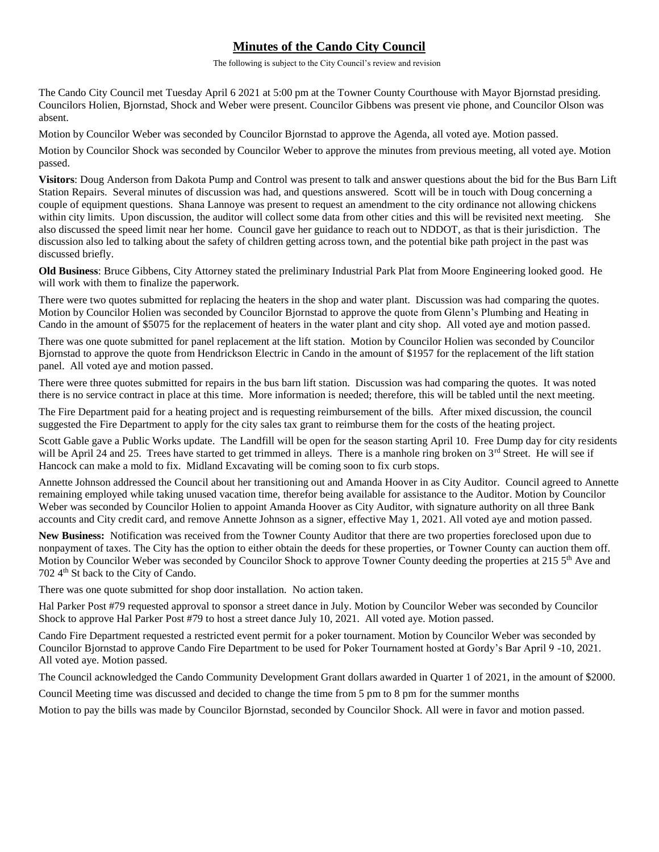## **Minutes of the Cando City Council**

The following is subject to the City Council's review and revision

The Cando City Council met Tuesday April 6 2021 at 5:00 pm at the Towner County Courthouse with Mayor Bjornstad presiding. Councilors Holien, Bjornstad, Shock and Weber were present. Councilor Gibbens was present vie phone, and Councilor Olson was absent.

Motion by Councilor Weber was seconded by Councilor Bjornstad to approve the Agenda, all voted aye. Motion passed.

Motion by Councilor Shock was seconded by Councilor Weber to approve the minutes from previous meeting, all voted aye. Motion passed.

**Visitors**: Doug Anderson from Dakota Pump and Control was present to talk and answer questions about the bid for the Bus Barn Lift Station Repairs. Several minutes of discussion was had, and questions answered. Scott will be in touch with Doug concerning a couple of equipment questions. Shana Lannoye was present to request an amendment to the city ordinance not allowing chickens within city limits. Upon discussion, the auditor will collect some data from other cities and this will be revisited next meeting. She also discussed the speed limit near her home. Council gave her guidance to reach out to NDDOT, as that is their jurisdiction. The discussion also led to talking about the safety of children getting across town, and the potential bike path project in the past was discussed briefly.

**Old Business**: Bruce Gibbens, City Attorney stated the preliminary Industrial Park Plat from Moore Engineering looked good. He will work with them to finalize the paperwork.

There were two quotes submitted for replacing the heaters in the shop and water plant. Discussion was had comparing the quotes. Motion by Councilor Holien was seconded by Councilor Bjornstad to approve the quote from Glenn's Plumbing and Heating in Cando in the amount of \$5075 for the replacement of heaters in the water plant and city shop. All voted aye and motion passed.

There was one quote submitted for panel replacement at the lift station. Motion by Councilor Holien was seconded by Councilor Bjornstad to approve the quote from Hendrickson Electric in Cando in the amount of \$1957 for the replacement of the lift station panel. All voted aye and motion passed.

There were three quotes submitted for repairs in the bus barn lift station. Discussion was had comparing the quotes. It was noted there is no service contract in place at this time. More information is needed; therefore, this will be tabled until the next meeting.

The Fire Department paid for a heating project and is requesting reimbursement of the bills. After mixed discussion, the council suggested the Fire Department to apply for the city sales tax grant to reimburse them for the costs of the heating project.

Scott Gable gave a Public Works update. The Landfill will be open for the season starting April 10. Free Dump day for city residents will be April 24 and 25. Trees have started to get trimmed in alleys. There is a manhole ring broken on  $3<sup>rd</sup>$  Street. He will see if Hancock can make a mold to fix. Midland Excavating will be coming soon to fix curb stops.

Annette Johnson addressed the Council about her transitioning out and Amanda Hoover in as City Auditor. Council agreed to Annette remaining employed while taking unused vacation time, therefor being available for assistance to the Auditor. Motion by Councilor Weber was seconded by Councilor Holien to appoint Amanda Hoover as City Auditor, with signature authority on all three Bank accounts and City credit card, and remove Annette Johnson as a signer, effective May 1, 2021. All voted aye and motion passed.

**New Business:** Notification was received from the Towner County Auditor that there are two properties foreclosed upon due to nonpayment of taxes. The City has the option to either obtain the deeds for these properties, or Towner County can auction them off. Motion by Councilor Weber was seconded by Councilor Shock to approve Towner County deeding the properties at 215 5<sup>th</sup> Ave and 702 4<sup>th</sup> St back to the City of Cando.

There was one quote submitted for shop door installation. No action taken.

Hal Parker Post #79 requested approval to sponsor a street dance in July. Motion by Councilor Weber was seconded by Councilor Shock to approve Hal Parker Post #79 to host a street dance July 10, 2021. All voted aye. Motion passed.

Cando Fire Department requested a restricted event permit for a poker tournament. Motion by Councilor Weber was seconded by Councilor Bjornstad to approve Cando Fire Department to be used for Poker Tournament hosted at Gordy's Bar April 9 -10, 2021. All voted aye. Motion passed.

The Council acknowledged the Cando Community Development Grant dollars awarded in Quarter 1 of 2021, in the amount of \$2000.

Council Meeting time was discussed and decided to change the time from 5 pm to 8 pm for the summer months

Motion to pay the bills was made by Councilor Bjornstad, seconded by Councilor Shock. All were in favor and motion passed.